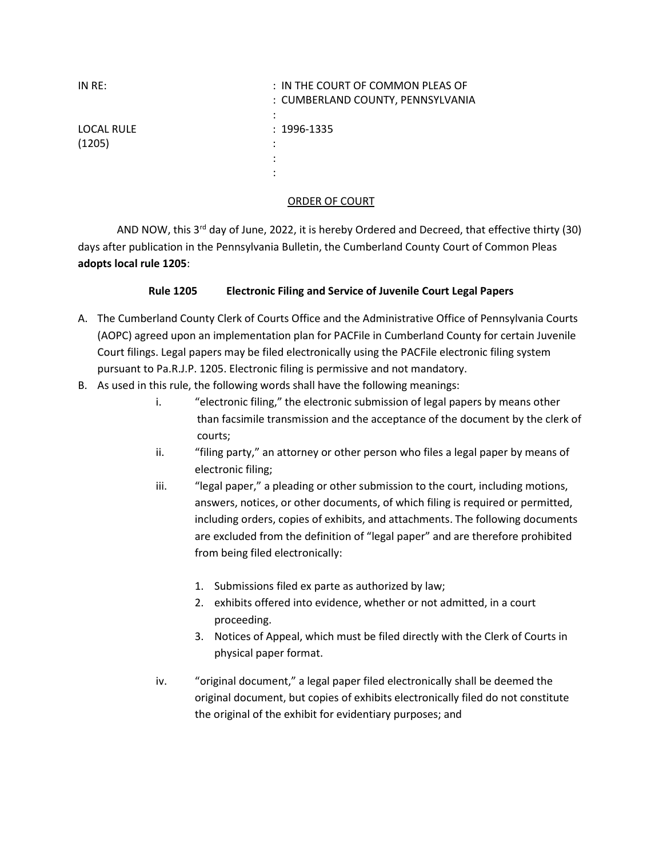| IN RE:                      | : IN THE COURT OF COMMON PLEAS OF<br>: CUMBERLAND COUNTY, PENNSYLVANIA<br>٠<br>٠ |
|-----------------------------|----------------------------------------------------------------------------------|
| <b>LOCAL RULE</b><br>(1205) | $: 1996 - 1335$<br>٠<br>٠<br>٠                                                   |

## ORDER OF COURT

AND NOW, this 3<sup>rd</sup> day of June, 2022, it is hereby Ordered and Decreed, that effective thirty (30) days after publication in the Pennsylvania Bulletin, the Cumberland County Court of Common Pleas adopts local rule 1205:

## Rule 1205 Electronic Filing and Service of Juvenile Court Legal Papers

- A. The Cumberland County Clerk of Courts Office and the Administrative Office of Pennsylvania Courts (AOPC) agreed upon an implementation plan for PACFile in Cumberland County for certain Juvenile Court filings. Legal papers may be filed electronically using the PACFile electronic filing system pursuant to Pa.R.J.P. 1205. Electronic filing is permissive and not mandatory.
- B. As used in this rule, the following words shall have the following meanings:
	- i. "electronic filing," the electronic submission of legal papers by means other than facsimile transmission and the acceptance of the document by the clerk of courts;
	- ii. "filing party," an attorney or other person who files a legal paper by means of electronic filing;
	- iii. "legal paper," a pleading or other submission to the court, including motions, answers, notices, or other documents, of which filing is required or permitted, including orders, copies of exhibits, and attachments. The following documents are excluded from the definition of "legal paper" and are therefore prohibited from being filed electronically:
		- 1. Submissions filed ex parte as authorized by law;
		- 2. exhibits offered into evidence, whether or not admitted, in a court proceeding.
		- 3. Notices of Appeal, which must be filed directly with the Clerk of Courts in physical paper format.
	- iv. "original document," a legal paper filed electronically shall be deemed the original document, but copies of exhibits electronically filed do not constitute the original of the exhibit for evidentiary purposes; and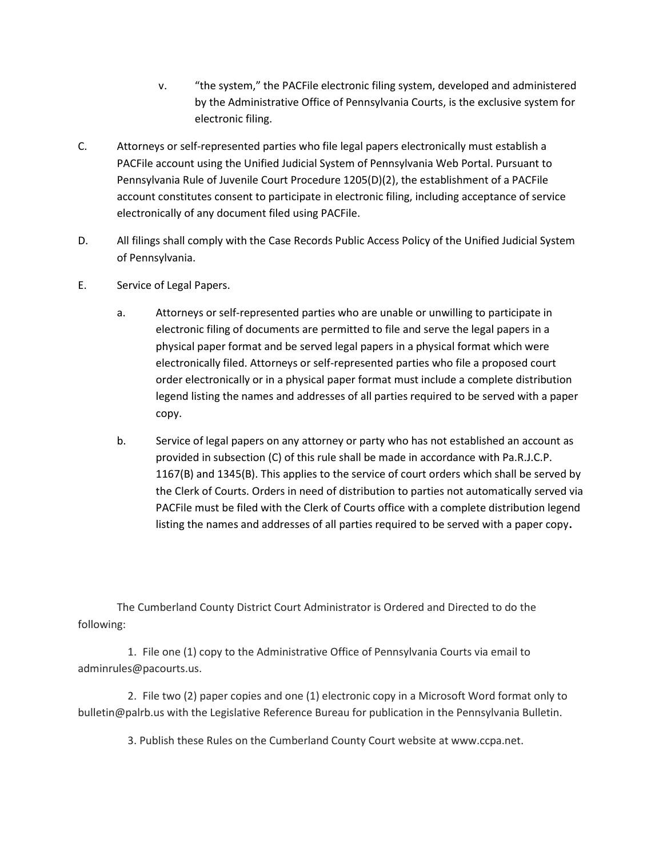- v. "the system," the PACFile electronic filing system, developed and administered by the Administrative Office of Pennsylvania Courts, is the exclusive system for electronic filing.
- C. Attorneys or self-represented parties who file legal papers electronically must establish a PACFile account using the Unified Judicial System of Pennsylvania Web Portal. Pursuant to Pennsylvania Rule of Juvenile Court Procedure 1205(D)(2), the establishment of a PACFile account constitutes consent to participate in electronic filing, including acceptance of service electronically of any document filed using PACFile.
- D. All filings shall comply with the Case Records Public Access Policy of the Unified Judicial System of Pennsylvania.
- E. Service of Legal Papers.
	- a. Attorneys or self-represented parties who are unable or unwilling to participate in electronic filing of documents are permitted to file and serve the legal papers in a physical paper format and be served legal papers in a physical format which were electronically filed. Attorneys or self-represented parties who file a proposed court order electronically or in a physical paper format must include a complete distribution legend listing the names and addresses of all parties required to be served with a paper copy.
	- b. Service of legal papers on any attorney or party who has not established an account as provided in subsection (C) of this rule shall be made in accordance with Pa.R.J.C.P. 1167(B) and 1345(B). This applies to the service of court orders which shall be served by the Clerk of Courts. Orders in need of distribution to parties not automatically served via PACFile must be filed with the Clerk of Courts office with a complete distribution legend listing the names and addresses of all parties required to be served with a paper copy.

The Cumberland County District Court Administrator is Ordered and Directed to do the following:

 1. File one (1) copy to the Administrative Office of Pennsylvania Courts via email to adminrules@pacourts.us.

 2. File two (2) paper copies and one (1) electronic copy in a Microsoft Word format only to bulletin@palrb.us with the Legislative Reference Bureau for publication in the Pennsylvania Bulletin.

3. Publish these Rules on the Cumberland County Court website at www.ccpa.net.